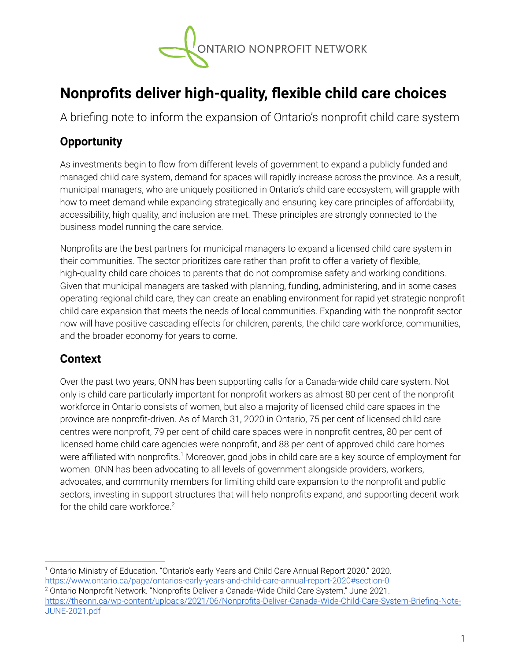

# **Nonprofits deliver high-quality, flexible child care choices**

A briefing note to inform the expansion of Ontario's nonprofit child care system

# **Opportunity**

As investments begin to flow from different levels of government to expand a publicly funded and managed child care system, demand for spaces will rapidly increase across the province. As a result, municipal managers, who are uniquely positioned in Ontario's child care ecosystem, will grapple with how to meet demand while expanding strategically and ensuring key care principles of affordability, accessibility, high quality, and inclusion are met. These principles are strongly connected to the business model running the care service.

Nonprofits are the best partners for municipal managers to expand a licensed child care system in their communities. The sector prioritizes care rather than profit to offer a variety of flexible, high-quality child care choices to parents that do not compromise safety and working conditions. Given that municipal managers are tasked with planning, funding, administering, and in some cases operating regional child care, they can create an enabling environment for rapid yet strategic nonprofit child care expansion that meets the needs of local communities. Expanding with the nonprofit sector now will have positive cascading effects for children, parents, the child care workforce, communities, and the broader economy for years to come.

# **Context**

Over the past two years, ONN has been supporting calls for a Canada-wide child care system. Not only is child care particularly important for nonprofit workers as almost 80 per cent of the nonprofit workforce in Ontario consists of women, but also a majority of licensed child care spaces in the province are nonprofit-driven. As of March 31, 2020 in Ontario, 75 per cent of licensed child care centres were nonprofit, 79 per cent of child care spaces were in nonprofit centres, 80 per cent of licensed home child care agencies were nonprofit, and 88 per cent of approved child care homes were affiliated with nonprofits.<sup>1</sup> Moreover, good jobs in child care are a key source of employment for women. ONN has been advocating to all levels of government alongside providers, workers, advocates, and community members for limiting child care expansion to the nonprofit and public sectors, investing in support structures that will help nonprofits expand, and supporting decent work for the child care workforce.<sup>2</sup>

<sup>1</sup> Ontario Ministry of Education. "Ontario's early Years and Child Care Annual Report 2020." 2020. <https://www.ontario.ca/page/ontarios-early-years-and-child-care-annual-report-2020#section-0>

 $2$  Ontario Nonprofit Network. "Nonprofits Deliver a Canada-Wide Child Care System." June 2021. [https://theonn.ca/wp-content/uploads/2021/06/Nonprofits-Deliver-Canada-Wide-Child-Care-System-Briefing-Note-](https://theonn.ca/wp-content/uploads/2021/06/Nonprofits-Deliver-Canada-Wide-Child-Care-System-Briefing-Note-JUNE-2021.pdf)[JUNE-2021.pdf](https://theonn.ca/wp-content/uploads/2021/06/Nonprofits-Deliver-Canada-Wide-Child-Care-System-Briefing-Note-JUNE-2021.pdf)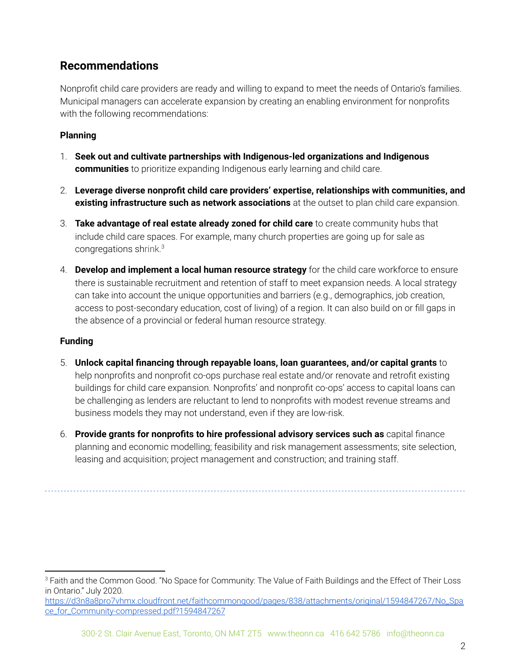# **Recommendations**

Nonprofit child care providers are ready and willing to expand to meet the needs of Ontario's families. Municipal managers can accelerate expansion by creating an enabling environment for nonprofits with the following recommendations:

## **Planning**

- 1. **Seek out and cultivate partnerships with Indigenous-led organizations and Indigenous communities** to prioritize expanding Indigenous early learning and child care.
- 2. **Leverage diverse nonprofit child care providers' expertise, relationships with communities, and existing infrastructure such as network associations** at the outset to plan child care expansion.
- 3. **Take advantage of real estate already zoned for child care** to create community hubs that include child care spaces. For example, many church properties are going up for sale as congregations shrink. 3
- 4. **Develop and implement a local human resource strategy** for the child care workforce to ensure there is sustainable recruitment and retention of staff to meet expansion needs. A local strategy can take into account the unique opportunities and barriers (e.g., demographics, job creation, access to post-secondary education, cost of living) of a region. It can also build on or fill gaps in the absence of a provincial or federal human resource strategy.

### **Funding**

- 5. **Unlock capital financing through repayable loans, loan guarantees, and/or capital grants** to help nonprofits and nonprofit co-ops purchase real estate and/or renovate and retrofit existing buildings for child care expansion. Nonprofits' and nonprofit co-ops' access to capital loans can be challenging as lenders are reluctant to lend to nonprofits with modest revenue streams and business models they may not understand, even if they are low-risk.
- 6. **Provide grants for nonprofits to hire professional advisory services such as** capital finance planning and economic modelling; feasibility and risk management assessments; site selection, leasing and acquisition; project management and construction; and training staff.

<sup>&</sup>lt;sup>3</sup> Faith and the Common Good. "No Space for Community: The Value of Faith Buildings and the Effect of Their Loss in Ontario." July 2020.

[https://d3n8a8pro7vhmx.cloudfront.net/faithcommongood/pages/838/attachments/original/1594847267/No\\_Spa](https://d3n8a8pro7vhmx.cloudfront.net/faithcommongood/pages/838/attachments/original/1594847267/No_Space_for_Community-compressed.pdf?1594847267) [ce\\_for\\_Community-compressed.pdf?1594847267](https://d3n8a8pro7vhmx.cloudfront.net/faithcommongood/pages/838/attachments/original/1594847267/No_Space_for_Community-compressed.pdf?1594847267)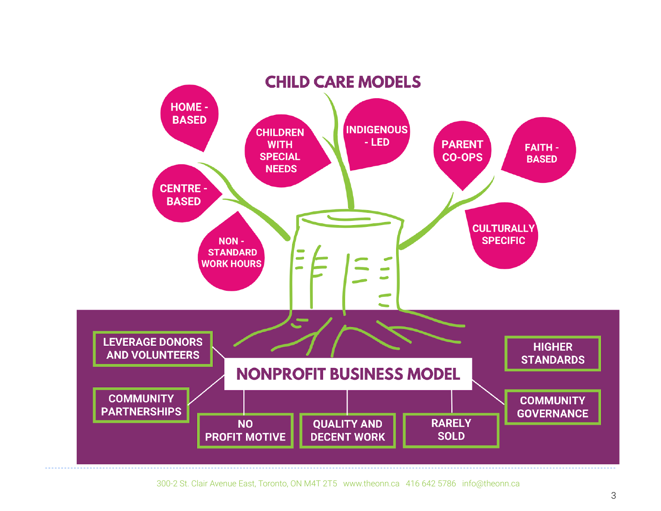

300-2 St. Clair Avenue East, Toronto, ON M4T 2T5 www.theonn.ca 416 642 5786 info@theonn.ca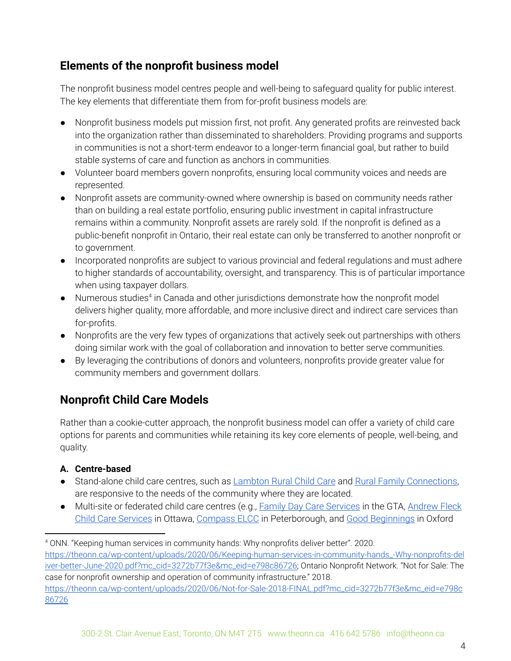# **Elements of the nonprofit business model**

The nonprofit business model centres people and well-being to safeguard quality for public interest. The key elements that differentiate them from for-profit business models are:

- Nonprofit business models put mission first, not profit. Any generated profits are reinvested back into the organization rather than disseminated to shareholders. Providing programs and supports in communities is not a short-term endeavor to a longer-term financial goal, but rather to build stable systems of care and function as anchors in communities.
- Volunteer board members govern nonprofits, ensuring local community voices and needs are represented.
- Nonprofit assets are community-owned where ownership is based on community needs rather than on building a real estate portfolio, ensuring public investment in capital infrastructure remains within a community. Nonprofit assets are rarely sold. If the nonprofit is defined as a public-benefit nonprofit in Ontario, their real estate can only be transferred to another nonprofit or to government.
- Incorporated nonprofits are subject to various provincial and federal regulations and must adhere to higher standards of accountability, oversight, and transparency. This is of particular importance when using taxpayer dollars.
- $\bullet$  Numerous studies<sup>4</sup> in Canada and other jurisdictions demonstrate how the nonprofit model delivers higher quality, more affordable, and more inclusive direct and indirect care services than for-profits.
- Nonprofits are the very few types of organizations that actively seek out partnerships with others doing similar work with the goal of collaboration and innovation to better serve communities.
- By leveraging the contributions of donors and volunteers, nonprofits provide greater value for community members and government dollars.

# **Nonprofit Child Care Models**

Rather than a cookie-cutter approach, the nonprofit business model can offer a variety of child care options for parents and communities while retaining its key core elements of people, well-being, and quality.

# **A. Centre-based**

- Stand-alone child care centres, such as [Lambton](https://lrchildcare.com/) Rural Child Care and Rural Family [Connections](https://ruralfamilyconnections.ca/), are responsive to the needs of the community where they are located.
- Multi-site or federated child care centres (e.g., Family Day Care [Services](https://familydaycare.com/) in the GTA, [Andrew](https://www.afchildrensservices.ca/licensed-child-care/licensed-home-child-care-program/) Fleck Child Care [Services](https://www.afchildrensservices.ca/licensed-child-care/licensed-home-child-care-program/) in Ottawa, [Compass](https://www.compasselc.com/) ELCC in Peterborough, and Good [Beginnings](http://www.goodbeginningsday.com/) in Oxford

<sup>4</sup> ONN. "Keeping human services in community hands: Why nonprofits deliver better". 2020. [https://theonn.ca/wp-content/uploads/2020/06/Keeping-human-services-in-community-hands\\_-Why-nonprofits-del](https://theonn.ca/wp-content/uploads/2020/06/Keeping-human-services-in-community-hands_-Why-nonprofits-deliver-better-June-2020.pdf?mc_cid=3272b77f3e&mc_eid=e798c86726) [iver-better-June-2020.pdf?mc\\_cid=3272b77f3e&mc\\_eid=e798c86726](https://theonn.ca/wp-content/uploads/2020/06/Keeping-human-services-in-community-hands_-Why-nonprofits-deliver-better-June-2020.pdf?mc_cid=3272b77f3e&mc_eid=e798c86726); Ontario Nonprofit Network. "Not for Sale: The case for nonprofit ownership and operation of community infrastructure." 2018. [https://theonn.ca/wp-content/uploads/2020/06/Not-for-Sale-2018-FINAL.pdf?mc\\_cid=3272b77f3e&mc\\_eid=e798c](https://theonn.ca/wp-content/uploads/2020/06/Not-for-Sale-2018-FINAL.pdf?mc_cid=3272b77f3e&mc_eid=e798c86726) [86726](https://theonn.ca/wp-content/uploads/2020/06/Not-for-Sale-2018-FINAL.pdf?mc_cid=3272b77f3e&mc_eid=e798c86726)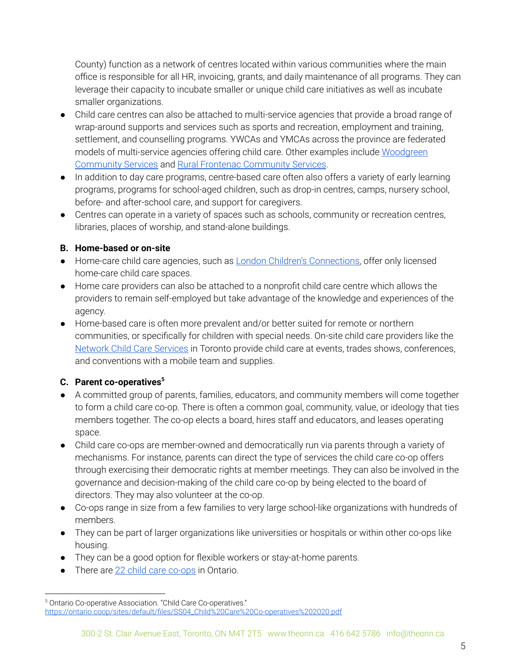County) function as a network of centres located within various communities where the main office is responsible for all HR, invoicing, grants, and daily maintenance of all programs. They can leverage their capacity to incubate smaller or unique child care initiatives as well as incubate smaller organizations.

- Child care centres can also be attached to multi-service agencies that provide a broad range of wrap-around supports and services such as sports and recreation, employment and training, settlement, and counselling programs. YWCAs and YMCAs across the province are federated models of multi-service agencies offering child care. Other examples include [Woodgreen](https://www.woodgreen.org/) [Community](https://www.woodgreen.org/) Services and Rural Frontenac [Community](http://rfcs.ca/services/) Services.
- In addition to day care programs, centre-based care often also offers a variety of early learning programs, programs for school-aged children, such as drop-in centres, camps, nursery school, before- and after-school care, and support for caregivers.
- Centres can operate in a variety of spaces such as schools, community or recreation centres, libraries, places of worship, and stand-alone buildings.

# **B. Home-based or on-site**

- Home-care child care agencies, such as **London Children's [Connections](https://lcc.on.ca/child-care-programs/licensed-home-child-care)**, offer only licensed home-care child care spaces.
- Home care providers can also be attached to a nonprofit child care centre which allows the providers to remain self-employed but take advantage of the knowledge and experiences of the agency.
- Home-based care is often more prevalent and/or better suited for remote or northern communities, or specifically for children with special needs. On-site child care providers like the Network Child Care [Services](https://networkchildcare.com/programs-services/onsite-care/) in Toronto provide child care at events, trades shows, conferences, and conventions with a mobile team and supplies.

# **C. Parent co-operatives 5**

- A committed group of parents, families, educators, and community members will come together to form a child care co-op. There is often a common goal, community, value, or ideology that ties members together. The co-op elects a board, hires staff and educators, and leases operating space.
- Child care co-ops are member-owned and democratically run via parents through a variety of mechanisms. For instance, parents can direct the type of services the child care co-op offers through exercising their democratic rights at member meetings. They can also be involved in the governance and decision-making of the child care co-op by being elected to the board of directors. They may also volunteer at the co-op.
- Co-ops range in size from a few families to very large school-like organizations with hundreds of members.
- They can be part of larger organizations like universities or hospitals or within other co-ops like housing.
- They can be a good option for flexible workers or stay-at-home parents.
- There are 22 child care [co-ops](https://www.ontario.ca/page/all-active-co-ops-ontario) in Ontario.

<sup>5</sup> Ontario Co-operative Association. "Child Care Co-operatives." [https://ontario.coop/sites/default/files/SS04\\_Child%20Care%20Co-operatives%202020.pdf](https://ontario.coop/sites/default/files/SS04_Child%20Care%20Co-operatives%202020.pdf)